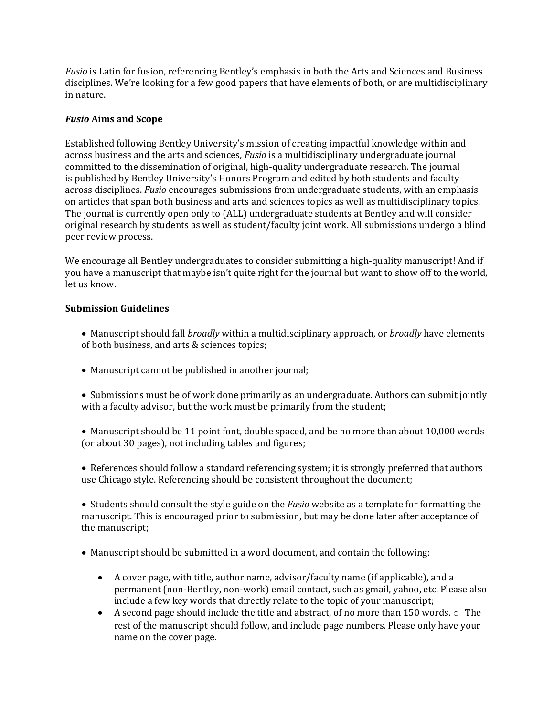*Fusio* is Latin for fusion, referencing Bentley's emphasis in both the Arts and Sciences and Business disciplines. We're looking for a few good papers that have elements of both, or are multidisciplinary in nature.

### *Fusio* **Aims and Scope**

Established following Bentley University's mission of creating impactful knowledge within and across business and the arts and sciences, *Fusio* is a multidisciplinary undergraduate journal committed to the dissemination of original, high-quality undergraduate research. The journal is published by Bentley University's Honors Program and edited by both students and faculty across disciplines. *Fusio* encourages submissions from undergraduate students, with an emphasis on articles that span both business and arts and sciences topics as well as multidisciplinary topics. The journal is currently open only to (ALL) undergraduate students at Bentley and will consider original research by students as well as student/faculty joint work. All submissions undergo a blind peer review process.

We encourage all Bentley undergraduates to consider submitting a high-quality manuscript! And if you have a manuscript that maybe isn't quite right for the journal but want to show off to the world, let us know.

## **Submission Guidelines**

- Manuscript should fall *broadly* within a multidisciplinary approach, or *broadly* have elements of both business, and arts & sciences topics;
- Manuscript cannot be published in another journal;
- Submissions must be of work done primarily as an undergraduate. Authors can submit jointly with a faculty advisor, but the work must be primarily from the student;
- Manuscript should be 11 point font, double spaced, and be no more than about 10,000 words (or about 30 pages), not including tables and figures;
- References should follow a standard referencing system; it is strongly preferred that authors use Chicago style. Referencing should be consistent throughout the document;

• Students should consult the style guide on the *Fusio* website as a template for formatting the manuscript. This is encouraged prior to submission, but may be done later after acceptance of the manuscript;

- Manuscript should be submitted in a word document, and contain the following:
	- A cover page, with title, author name, advisor/faculty name (if applicable), and a permanent (non-Bentley, non-work) email contact, such as gmail, yahoo, etc. Please also include a few key words that directly relate to the topic of your manuscript;
	- A second page should include the title and abstract, of no more than 150 words.  $\circ$  The rest of the manuscript should follow, and include page numbers. Please only have your name on the cover page.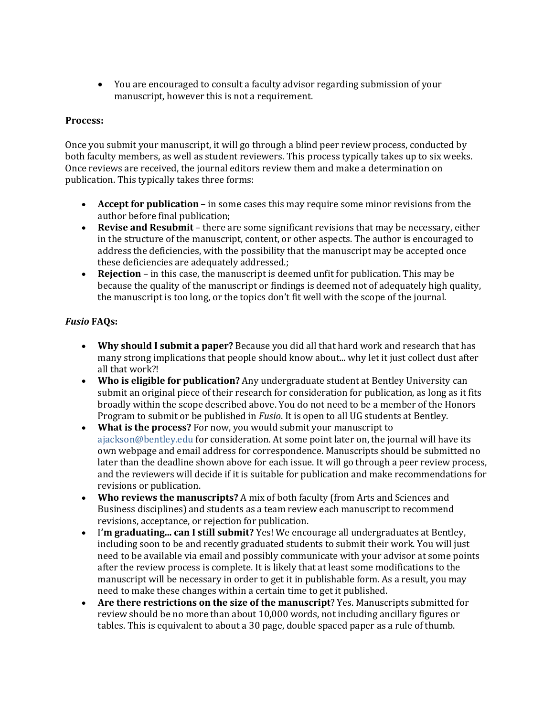• You are encouraged to consult a faculty advisor regarding submission of your manuscript, however this is not a requirement.

#### Process:

Once you submit your manuscript, it will go through a blind peer review process, conducted by both faculty members, as well as student reviewers. This process typically takes up to six weeks. Once reviews are received, the journal editors review them and make a determination on publication. This typically takes three forms:

- Accept for publication in some cases this may require some minor revisions from the author before final publication;
- **Revise and Resubmit** there are some significant revisions that may be necessary, either in the structure of the manuscript, content, or other aspects. The author is encouraged to address the deficiencies, with the possibility that the manuscript may be accepted once these deficiencies are adequately addressed.;
- **Rejection** in this case, the manuscript is deemed unfit for publication. This may be because the quality of the manuscript or findings is deemed not of adequately high quality, the manuscript is too long, or the topics don't fit well with the scope of the journal.

# *Fusio* **FAQs:**

- **Why should I submit a paper?** Because you did all that hard work and research that has many strong implications that people should know about... why let it just collect dust after all that work?!
- **Who is eligible for publication?** Any undergraduate student at Bentley University can submit an original piece of their research for consideration for publication, as long as it fits broadly within the scope described above. You do not need to be a member of the Honors Program to submit or be published in *Fusio*. It is open to all UG students at Bentley.
- What is the process? For now, you would submit your manuscript to ajackson@bentley.edu for consideration. At some point later on, the journal will have its own webpage and email address for correspondence. Manuscripts should be submitted no later than the deadline shown above for each issue. It will go through a peer review process, and the reviewers will decide if it is suitable for publication and make recommendations for revisions or publication.
- Who reviews the manuscripts? A mix of both faculty (from Arts and Sciences and Business disciplines) and students as a team review each manuscript to recommend revisions, acceptance, or rejection for publication.
- I'm graduating... can I still submit? Yes! We encourage all undergraduates at Bentley, including soon to be and recently graduated students to submit their work. You will just need to be available via email and possibly communicate with your advisor at some points after the review process is complete. It is likely that at least some modifications to the manuscript will be necessary in order to get it in publishable form. As a result, you may need to make these changes within a certain time to get it published.
- Are there restrictions on the size of the manuscript? Yes. Manuscripts submitted for review should be no more than about 10,000 words, not including ancillary figures or tables. This is equivalent to about a 30 page, double spaced paper as a rule of thumb.